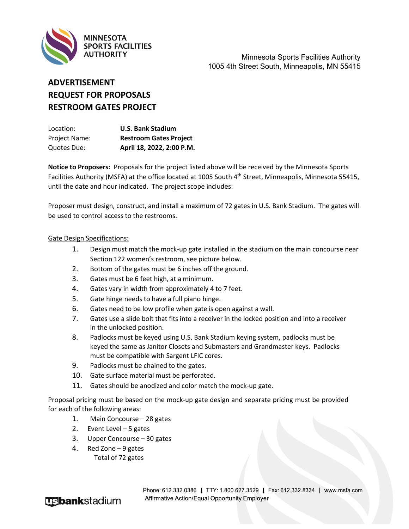

Minnesota Sports Facilities Authority 1005 4th Street South, Minneapolis, MN 55415

## **ADVERTISEMENT REQUEST FOR PROPOSALS RESTROOM GATES PROJECT**

| Location:     | <b>U.S. Bank Stadium</b>      |
|---------------|-------------------------------|
| Project Name: | <b>Restroom Gates Project</b> |
| Quotes Due:   | April 18, 2022, 2:00 P.M.     |

**Notice to Proposers:** Proposals for the project listed above will be received by the Minnesota Sports Facilities Authority (MSFA) at the office located at 1005 South 4th Street, Minneapolis, Minnesota 55415, until the date and hour indicated. The project scope includes:

Proposer must design, construct, and install a maximum of 72 gates in U.S. Bank Stadium. The gates will be used to control access to the restrooms.

## Gate Design Specifications:

- 1. Design must match the mock-up gate installed in the stadium on the main concourse near Section 122 women's restroom, see picture below.
- 2. Bottom of the gates must be 6 inches off the ground.
- 3. Gates must be 6 feet high, at a minimum.
- 4. Gates vary in width from approximately 4 to 7 feet.
- 5. Gate hinge needs to have a full piano hinge.
- 6. Gates need to be low profile when gate is open against a wall.
- 7. Gates use a slide bolt that fits into a receiver in the locked position and into a receiver in the unlocked position.
- 8. Padlocks must be keyed using U.S. Bank Stadium keying system, padlocks must be keyed the same as Janitor Closets and Submasters and Grandmaster keys. Padlocks must be compatible with Sargent LFIC cores.
- 9. Padlocks must be chained to the gates.
- 10. Gate surface material must be perforated.
- 11. Gates should be anodized and color match the mock-up gate.

Proposal pricing must be based on the mock-up gate design and separate pricing must be provided for each of the following areas:

- 1. Main Concourse 28 gates
- 2. Event Level 5 gates
- 3. Upper Concourse 30 gates
- 4. Red Zone 9 gates Total of 72 gates